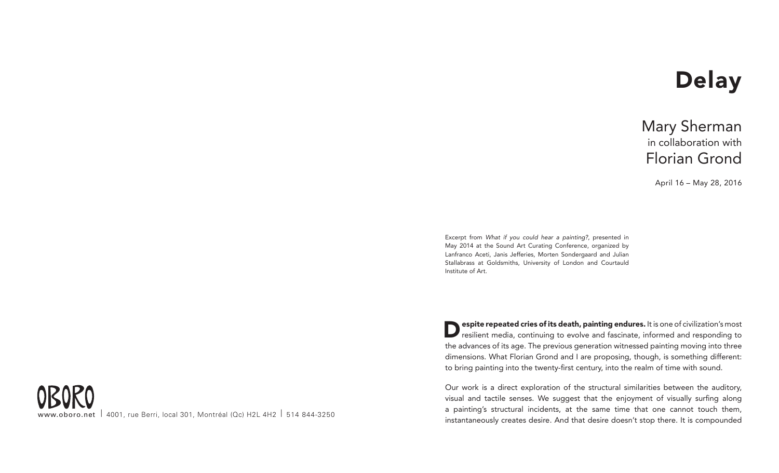## **Delay**

## Mary Sherman<br>in collaboration with Florian Grond

April 16 – May 28, 2016

Excerpt from *What if you could hear a painting?*, presented in May 2014 at the Sound Art Curating Conference, organized by Lanfranco Aceti, Janis Jefferies, Morten Sondergaard and Julian Stallabrass at Goldsmiths, University of London and Courtauld Institute of Art.

**Despite repeated cries of its death, painting endures.** It is one of civilization's most resilient media, continuing to evolve and fascinate, informed and responding to the advances of its age. The previous generation witnessed painting moving into three dimensions. What Florian Grond and I are proposing, though, is something different: to bring painting into the twenty-first century, into the realm of time with sound.

Our work is a direct exploration of the structural similarities between the auditory, visual and tactile senses. We suggest that the enjoyment of visually surfing along a painting's structural incidents, at the same time that one cannot touch them, instantaneously creates desire. And that desire doesn't stop there. It is compounded

www.oboro.net | 4001, rue Berri, local 301, Montréal (Qc) H2L 4H2 | 514 844-3250